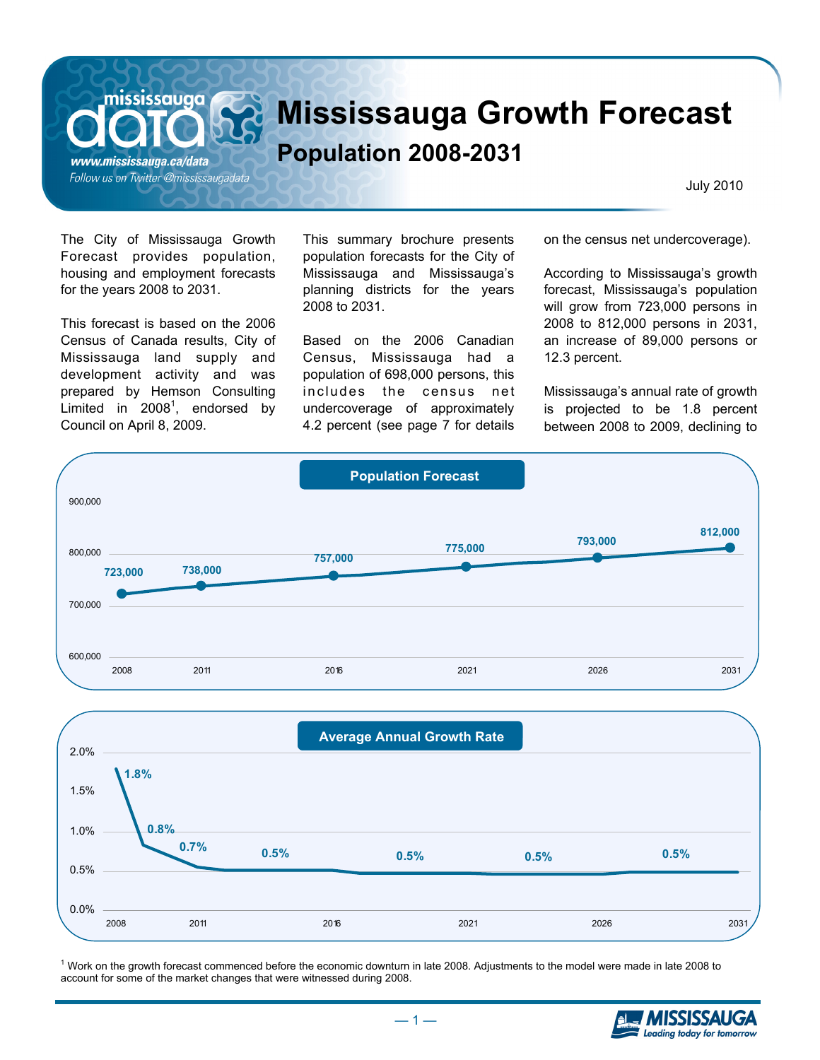**Mississauga Growth Forecast** 

## **Population 2008-2031**

www.mississauga.ca/data Follow us on Twitter @mississaugadata

mississauga

July 2010

The City of Mississauga Growth Forecast provides population, housing and employment forecasts for the years 2008 to 2031.

This forecast is based on the 2006 Census of Canada results, City of Mississauga land supply and development activity and was prepared by Hemson Consulting Limited in  $2008<sup>1</sup>$ , endorsed by Council on April 8, 2009.

This summary brochure presents population forecasts for the City of Mississauga and Mississauga's planning districts for the years 2008 to 2031.

Based on the 2006 Canadian Census, Mississauga had a population of 698,000 persons, this includes the census net undercoverage of approximately 4.2 percent (see page 7 for details on the census net undercoverage).

According to Mississauga's growth forecast, Mississauga's population will grow from 723,000 persons in 2008 to 812,000 persons in 2031, an increase of 89,000 persons or 12.3 percent.

Mississauga's annual rate of growth is projected to be 1.8 percent between 2008 to 2009, declining to





<sup>1</sup> Work on the growth forecast commenced before the economic downturn in late 2008. Adjustments to the model were made in late 2008 to account for some of the market changes that were witnessed during 2008.

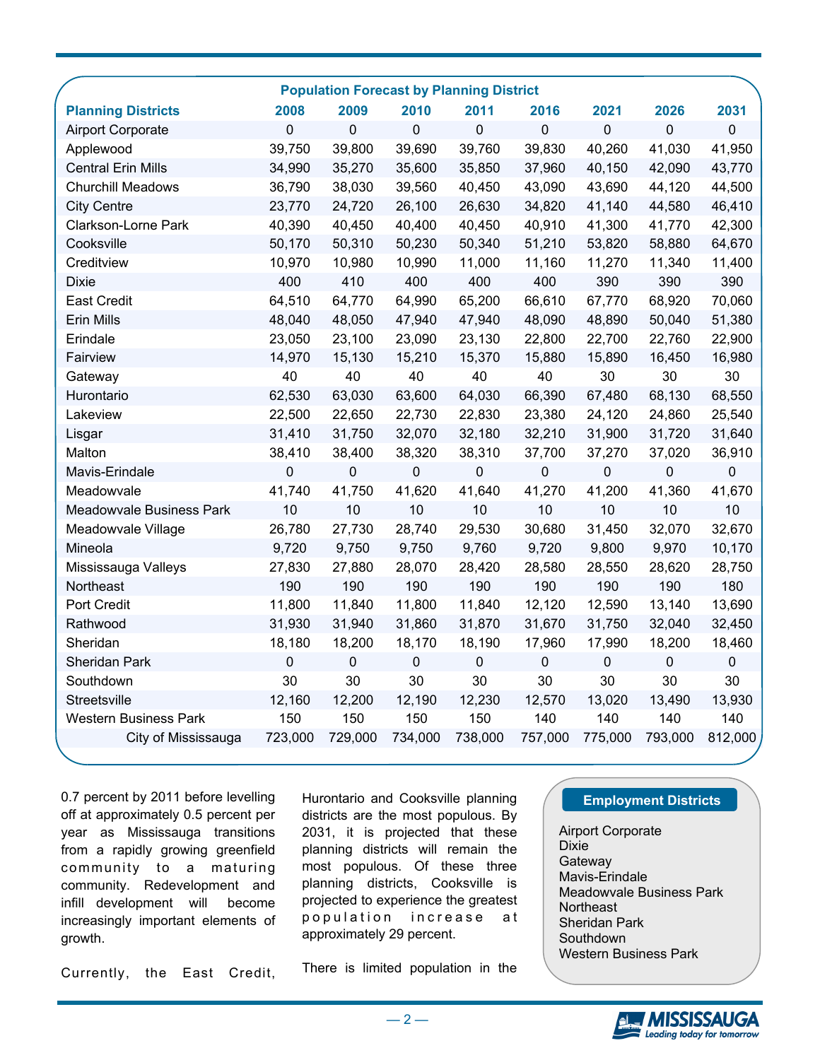|                              |             |                  | <b>Population Forecast by Planning District</b> |             |             |           |           |             |
|------------------------------|-------------|------------------|-------------------------------------------------|-------------|-------------|-----------|-----------|-------------|
| <b>Planning Districts</b>    | 2008        | 2009             | 2010                                            | 2011        | 2016        | 2021      | 2026      | 2031        |
| <b>Airport Corporate</b>     | $\mathbf 0$ | 0                | 0                                               | $\mathbf 0$ | $\mathbf 0$ | 0         | 0         | $\mathbf 0$ |
| Applewood                    | 39,750      | 39,800           | 39,690                                          | 39,760      | 39,830      | 40,260    | 41,030    | 41,950      |
| <b>Central Erin Mills</b>    | 34,990      | 35,270           | 35,600                                          | 35,850      | 37,960      | 40,150    | 42,090    | 43,770      |
| <b>Churchill Meadows</b>     | 36,790      | 38,030           | 39,560                                          | 40,450      | 43,090      | 43,690    | 44,120    | 44,500      |
| <b>City Centre</b>           | 23,770      | 24,720           | 26,100                                          | 26,630      | 34,820      | 41,140    | 44,580    | 46,410      |
| <b>Clarkson-Lorne Park</b>   | 40,390      | 40,450           | 40,400                                          | 40,450      | 40,910      | 41,300    | 41,770    | 42,300      |
| Cooksville                   | 50,170      | 50,310           | 50,230                                          | 50,340      | 51,210      | 53,820    | 58,880    | 64,670      |
| Creditview                   | 10,970      | 10,980           | 10,990                                          | 11,000      | 11,160      | 11,270    | 11,340    | 11,400      |
| <b>Dixie</b>                 | 400         | 410              | 400                                             | 400         | 400         | 390       | 390       | 390         |
| <b>East Credit</b>           | 64,510      | 64,770           | 64,990                                          | 65,200      | 66,610      | 67,770    | 68,920    | 70,060      |
| Erin Mills                   | 48,040      | 48,050           | 47,940                                          | 47,940      | 48,090      | 48,890    | 50,040    | 51,380      |
| Erindale                     | 23,050      | 23,100           | 23,090                                          | 23,130      | 22,800      | 22,700    | 22,760    | 22,900      |
| Fairview                     | 14,970      | 15,130           | 15,210                                          | 15,370      | 15,880      | 15,890    | 16,450    | 16,980      |
| Gateway                      | 40          | 40               | 40                                              | 40          | 40          | 30        | 30        | 30          |
| Hurontario                   | 62,530      | 63,030           | 63,600                                          | 64,030      | 66,390      | 67,480    | 68,130    | 68,550      |
| Lakeview                     | 22,500      | 22,650           | 22,730                                          | 22,830      | 23,380      | 24,120    | 24,860    | 25,540      |
| Lisgar                       | 31,410      | 31,750           | 32,070                                          | 32,180      | 32,210      | 31,900    | 31,720    | 31,640      |
| Malton                       | 38,410      | 38,400           | 38,320                                          | 38,310      | 37,700      | 37,270    | 37,020    | 36,910      |
| Mavis-Erindale               | $\pmb{0}$   | $\boldsymbol{0}$ | $\pmb{0}$                                       | $\pmb{0}$   | $\pmb{0}$   | 0         | 0         | $\pmb{0}$   |
| Meadowvale                   | 41,740      | 41,750           | 41,620                                          | 41,640      | 41,270      | 41,200    | 41,360    | 41,670      |
| Meadowvale Business Park     | 10          | 10               | 10                                              | 10          | 10          | 10        | 10        | 10          |
| Meadowvale Village           | 26,780      | 27,730           | 28,740                                          | 29,530      | 30,680      | 31,450    | 32,070    | 32,670      |
| Mineola                      | 9,720       | 9,750            | 9,750                                           | 9,760       | 9,720       | 9,800     | 9,970     | 10,170      |
| Mississauga Valleys          | 27,830      | 27,880           | 28,070                                          | 28,420      | 28,580      | 28,550    | 28,620    | 28,750      |
| Northeast                    | 190         | 190              | 190                                             | 190         | 190         | 190       | 190       | 180         |
| Port Credit                  | 11,800      | 11,840           | 11,800                                          | 11,840      | 12,120      | 12,590    | 13,140    | 13,690      |
| Rathwood                     | 31,930      | 31,940           | 31,860                                          | 31,870      | 31,670      | 31,750    | 32,040    | 32,450      |
| Sheridan                     | 18,180      | 18,200           | 18,170                                          | 18,190      | 17,960      | 17,990    | 18,200    | 18,460      |
| <b>Sheridan Park</b>         | $\mathbf 0$ | $\mathbf 0$      | $\pmb{0}$                                       | $\mathbf 0$ | $\mathbf 0$ | $\pmb{0}$ | $\pmb{0}$ | $\pmb{0}$   |
| Southdown                    | 30          | 30               | 30                                              | 30          | 30          | 30        | 30        | 30          |
| Streetsville                 | 12,160      | 12,200           | 12,190                                          | 12,230      | 12,570      | 13,020    | 13,490    | 13,930      |
| <b>Western Business Park</b> | 150         | 150              | 150                                             | 150         | 140         | 140       | 140       | 140         |
| City of Mississauga          | 723,000     | 729,000          | 734,000                                         | 738,000     | 757,000     | 775,000   | 793,000   | 812,000     |
|                              |             |                  |                                                 |             |             |           |           |             |

0.7 percent by 2011 before levelling Hurontario and Cooksville planning (**Fig. 2** Employment Districts off at approximately 0.5 percent per year as Mississauga transitions from a rapidly growing greenfield community to a maturing community. Redevelopment and infill development will become increasingly important elements of growth.

Currently, the East Credit,

districts are the most populous. By 2031, it is projected that these planning districts will remain the most populous. Of these three planning districts, Cooksville is projected to experience the greatest population increase at approximately 29 percent.

There is limited population in the

Airport Corporate Dixie **Gateway** Mavis-Erindale Meadowvale Business Park **Northeast** Sheridan Park Southdown Western Business Park

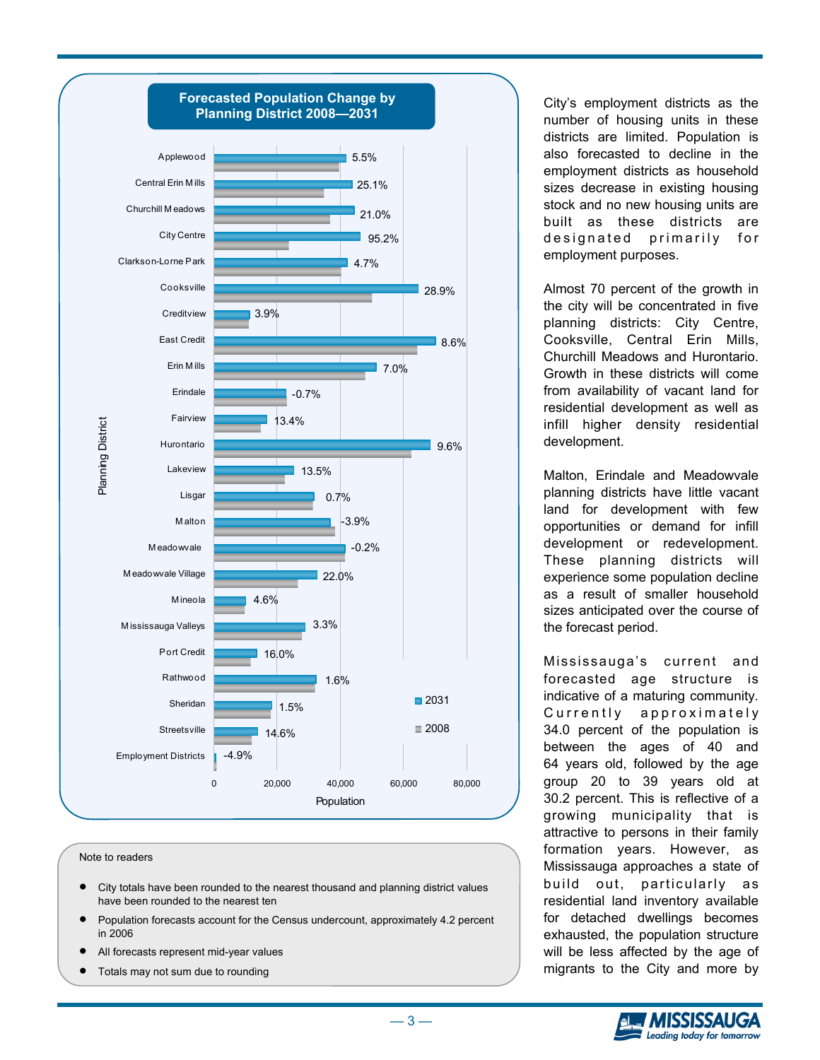

Note to readers

- City totals have been rounded to the nearest thousand and planning district values have been rounded to the nearest ten
- Population forecasts account for the Census undercount, approximately 4.2 percent in 2006
- All forecasts represent mid-year values
- Totals may not sum due to rounding

City's employment districts as the number of housing units in these districts are limited. Population is also forecasted to decline in the employment districts as household sizes decrease in existing housing stock and no new housing units are built as these districts are designated primarily for employment purposes.

Almost 70 percent of the growth in the city will be concentrated in five planning districts: City Centre, Cooksville, Central Erin Mills, Churchill Meadows and Hurontario. Growth in these districts will come from availability of vacant land for residential development as well as infill higher density residential development.

Malton, Erindale and Meadowvale planning districts have little vacant land for development with few opportunities or demand for infill development or redevelopment. These planning districts will experience some population decline as a result of smaller household sizes anticipated over the course of the forecast period.

Mississauga's current and forecasted age structure is indicative of a maturing community. Currently approximately 34.0 percent of the population is between the ages of 40 and 64 years old, followed by the age group 20 to 39 years old at 30.2 percent. This is reflective of a growing municipality that is attractive to persons in their family formation years. However, as Mississauga approaches a state of build out, particularly as residential land inventory available for detached dwellings becomes exhausted, the population structure will be less affected by the age of migrants to the City and more by



 $-3-$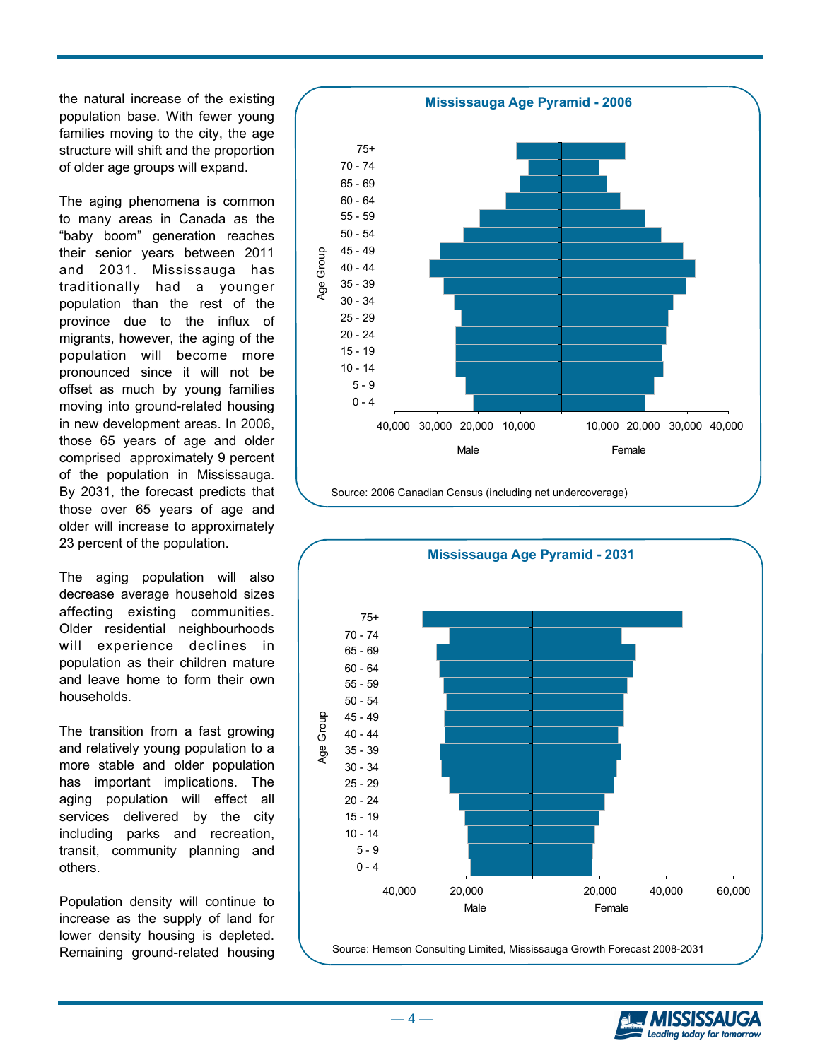the natural increase of the existing population base. With fewer young families moving to the city, the age structure will shift and the proportion of older age groups will expand.

The aging phenomena is common to many areas in Canada as the "baby boom" generation reaches their senior years between 2011 and 2031. Mississauga has traditionally had a younger population than the rest of the province due to the influx of migrants, however, the aging of the population will become more pronounced since it will not be offset as much by young families moving into ground-related housing in new development areas. In 2006, those 65 years of age and older comprised approximately 9 percent of the population in Mississauga. By 2031, the forecast predicts that those over 65 years of age and older will increase to approximately 23 percent of the population.

The aging population will also decrease average household sizes affecting existing communities. Older residential neighbourhoods will experience declines in population as their children mature and leave home to form their own households.

The transition from a fast growing and relatively young population to a more stable and older population has important implications. The aging population will effect all services delivered by the city including parks and recreation, transit, community planning and others.

Population density will continue to increase as the supply of land for lower density housing is depleted. Remaining ground-related housing









 $-4-$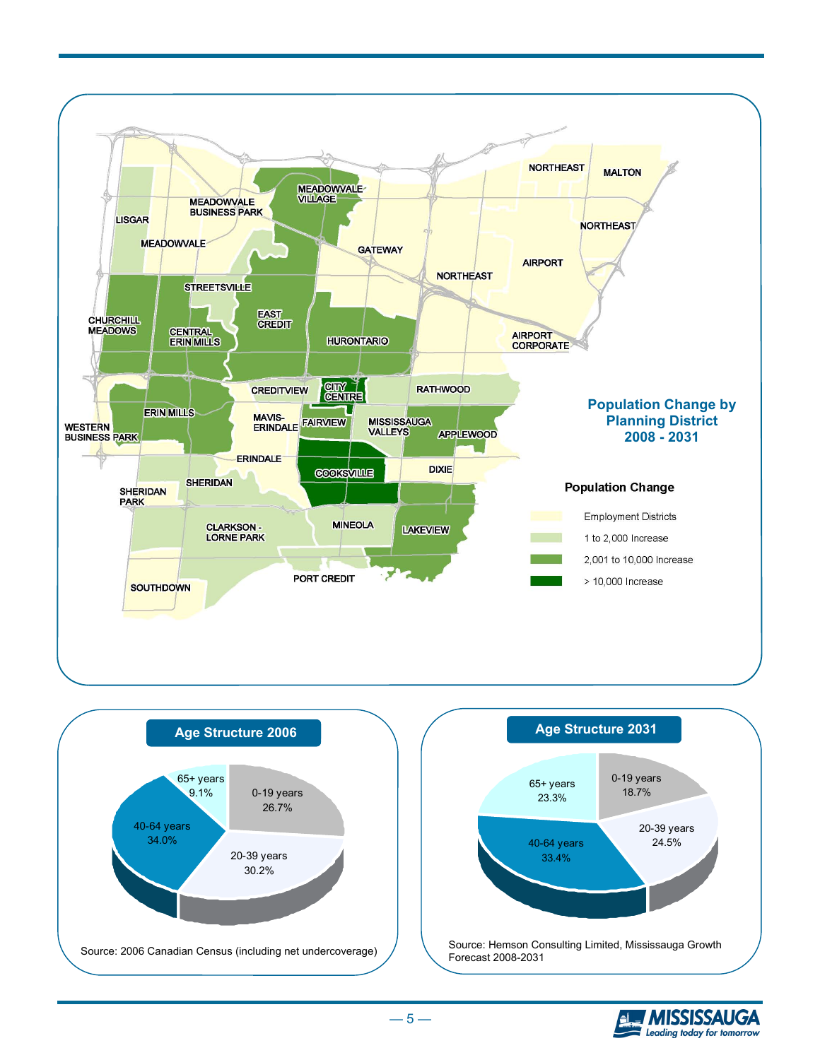







 $-5-$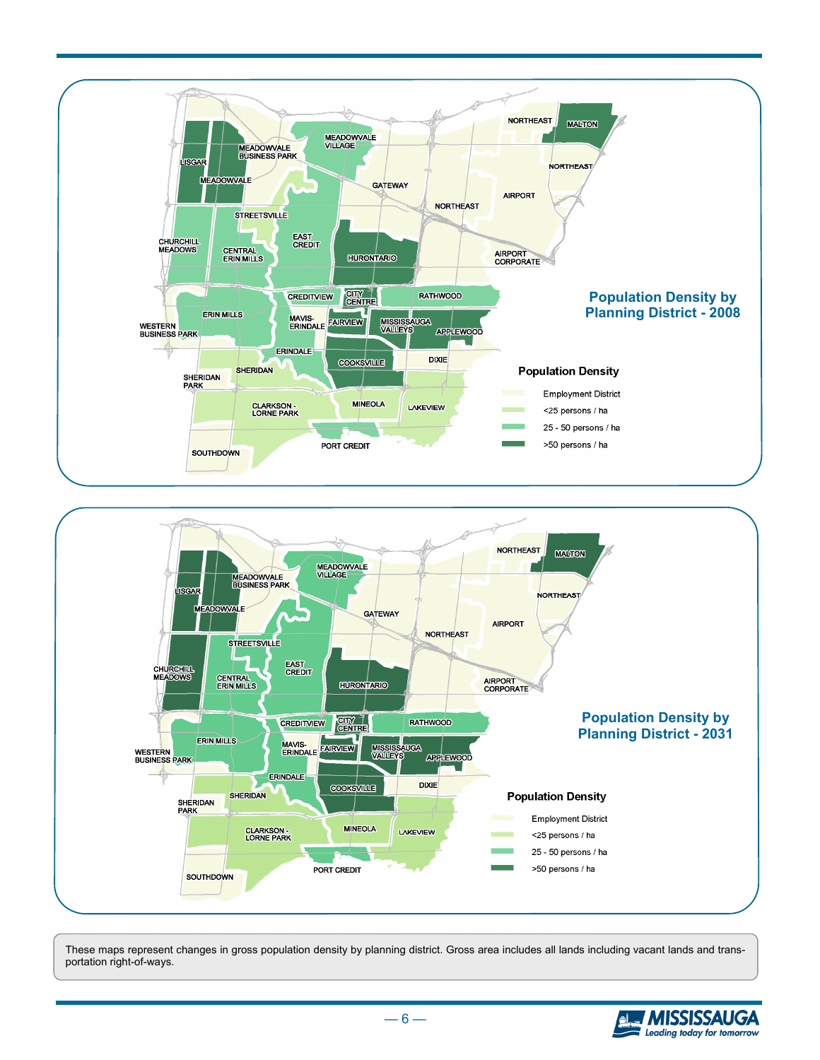



These maps represent changes in gross population density by planning district. Gross area includes all lands including vacant lands and transportation right-of-ways.



 $-6-$